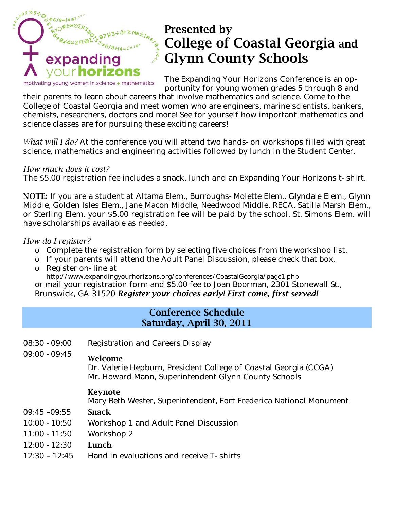

# **Presented by College of Coastal Georgia and Glynn County Schools**

The Expanding Your Horizons Conference is an opportunity for young women grades 5 through 8 and

their parents to learn about careers that involve mathematics and science. Come to the College of Coastal Georgia and meet women who are engineers, marine scientists, bankers, chemists, researchers, doctors and more! See for yourself how important mathematics and science classes are for pursuing these exciting careers!

*What will I do?* At the conference you will attend two hands-on workshops filled with great science, mathematics and engineering activities followed by lunch in the Student Center.

#### *How much does it cost?*

The \$5.00 registration fee includes a snack, lunch and an Expanding Your Horizons t-shirt.

**NOTE:** If you are a student at Altama Elem., Burroughs-Molette Elem., Glyndale Elem., Glynn Middle, Golden Isles Elem., Jane Macon Middle, Needwood Middle, RECA, Satilla Marsh Elem., or Sterling Elem. your \$5.00 registration fee will be paid by the school. St. Simons Elem. will have scholarships available as needed.

## *How do I register?*

- o Complete the registration form by selecting five choices from the workshop list.
- o If your parents will attend the Adult Panel Discussion, please check that box.
- o Register on-line at http://www.expandingyourhorizons.org/conferences/CoastalGeorgia/page1.php

or mail your registration form and \$5.00 fee to Joan Boorman, 2301 Stonewall St., Brunswick, GA 31520 *Register your choices early! First come, first served!*

# **Conference Schedule Saturday, April 30, 2011**

- 08:30 -09:00 Registration and Careers Display 09:00 -09:45 **Welcome**  Dr. Valerie Hepburn, President College of Coastal Georgia (CCGA) Mr. Howard Mann, Superintendent Glynn County Schools **Keynote**  Mary Beth Wester, Superintendent, Fort Frederica National Monument 09:45 –09:55 **Snack**
- 10:00 -10:50 Workshop 1 and Adult Panel Discussion
- 11:00 -11:50 Workshop 2
- 12:00 -12:30 **Lunch**
- 12:30 12:45 Hand in evaluations and receive T-shirts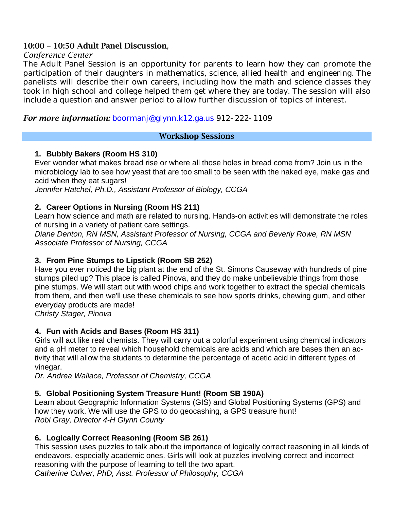## **10:00 – 10:50 Adult Panel Discussion**,

#### *Conference Center*

The Adult Panel Session is an opportunity for parents to learn how they can promote the participation of their daughters in mathematics, science, allied health and engineering. The panelists will describe their own careers, including how the math and science classes they took in high school and college helped them get where they are today. The session will also include a question and answer period to allow further discussion of topics of interest.

## *For more information:* boormanj@glynn.k12.ga.us 912-222-1109

#### **Workshop Sessions**

## **1. Bubbly Bakers (Room HS 310)**

Ever wonder what makes bread rise or where all those holes in bread come from? Join us in the microbiology lab to see how yeast that are too small to be seen with the naked eye, make gas and acid when they eat sugars!

*Jennifer Hatchel, Ph.D., Assistant Professor of Biology, CCGA* 

## **2. Career Options in Nursing (Room HS 211)**

Learn how science and math are related to nursing. Hands-on activities will demonstrate the roles of nursing in a variety of patient care settings.

*Diane Denton, RN MSN, Assistant Professor of Nursing, CCGA and Beverly Rowe, RN MSN Associate Professor of Nursing, CCGA* 

## **3. From Pine Stumps to Lipstick (Room SB 252)**

Have you ever noticed the big plant at the end of the St. Simons Causeway with hundreds of pine stumps piled up? This place is called Pinova, and they do make unbelievable things from those pine stumps. We will start out with wood chips and work together to extract the special chemicals from them, and then we'll use these chemicals to see how sports drinks, chewing gum, and other everyday products are made!

*Christy Stager, Pinova* 

# **4. Fun with Acids and Bases (Room HS 311)**

Girls will act like real chemists. They will carry out a colorful experiment using chemical indicators and a pH meter to reveal which household chemicals are acids and which are bases then an activity that will allow the students to determine the percentage of acetic acid in different types of vinegar.

*Dr. Andrea Wallace, Professor of Chemistry, CCGA*

# **5. Global Positioning System Treasure Hunt! (Room SB 190A)**

Learn about Geographic Information Systems (GIS) and Global Positioning Systems (GPS) and how they work. We will use the GPS to do geocashing, a GPS treasure hunt! *Robi Gray, Director 4-H Glynn County* 

## **6. Logically Correct Reasoning (Room SB 261)**

This session uses puzzles to talk about the importance of logically correct reasoning in all kinds of endeavors, especially academic ones. Girls will look at puzzles involving correct and incorrect reasoning with the purpose of learning to tell the two apart.

*Catherine Culver, PhD, Asst. Professor of Philosophy, CCGA*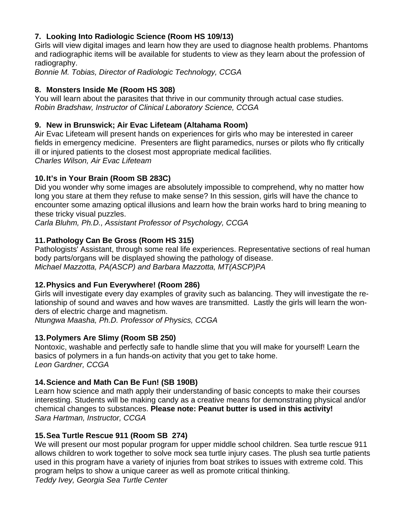# **7. Looking Into Radiologic Science (Room HS 109/13)**

Girls will view digital images and learn how they are used to diagnose health problems. Phantoms and radiographic items will be available for students to view as they learn about the profession of radiography.

*Bonnie M. Tobias, Director of Radiologic Technology, CCGA* 

## **8. Monsters Inside Me (Room HS 308)**

You will learn about the parasites that thrive in our community through actual case studies. *Robin Bradshaw, Instructor of Clinical Laboratory Science, CCGA* 

## **9. New in Brunswick; Air Evac Lifeteam (Altahama Room)**

Air Evac Lifeteam will present hands on experiences for girls who may be interested in career fields in emergency medicine. Presenters are flight paramedics, nurses or pilots who fly critically ill or injured patients to the closest most appropriate medical facilities. *Charles Wilson, Air Evac Lifeteam* 

## **10. It's in Your Brain (Room SB 283C)**

Did you wonder why some images are absolutely impossible to comprehend, why no matter how long you stare at them they refuse to make sense? In this session, girls will have the chance to encounter some amazing optical illusions and learn how the brain works hard to bring meaning to these tricky visual puzzles.

*Carla Bluhm, Ph.D., Assistant Professor of Psychology, CCGA* 

## **11. Pathology Can Be Gross (Room HS 315)**

Pathologists' Assistant, through some real life experiences. Representative sections of real human body parts/organs will be displayed showing the pathology of disease. *Michael Mazzotta, PA(ASCP) and Barbara Mazzotta, MT(ASCP)PA* 

## **12. Physics and Fun Everywhere! (Room 286)**

Girls will investigate every day examples of gravity such as balancing. They will investigate the relationship of sound and waves and how waves are transmitted. Lastly the girls will learn the wonders of electric charge and magnetism.

*Ntungwa Maasha, Ph.D. Professor of Physics, CCGA*

## **13. Polymers Are Slimy (Room SB 250)**

Nontoxic, washable and perfectly safe to handle slime that you will make for yourself! Learn the basics of polymers in a fun hands-on activity that you get to take home. *Leon Gardner, CCGA*

## **14. Science and Math Can Be Fun! (SB 190B)**

Learn how science and math apply their understanding of basic concepts to make their courses interesting. Students will be making candy as a creative means for demonstrating physical and/or chemical changes to substances. **Please note: Peanut butter is used in this activity!**  *Sara Hartman, Instructor, CCGA* 

## **15. Sea Turtle Rescue 911 (Room SB 274)**

We will present our most popular program for upper middle school children. Sea turtle rescue 911 allows children to work together to solve mock sea turtle injury cases. The plush sea turtle patients used in this program have a variety of injuries from boat strikes to issues with extreme cold. This program helps to show a unique career as well as promote critical thinking. *Teddy Ivey, Georgia Sea Turtle Center*